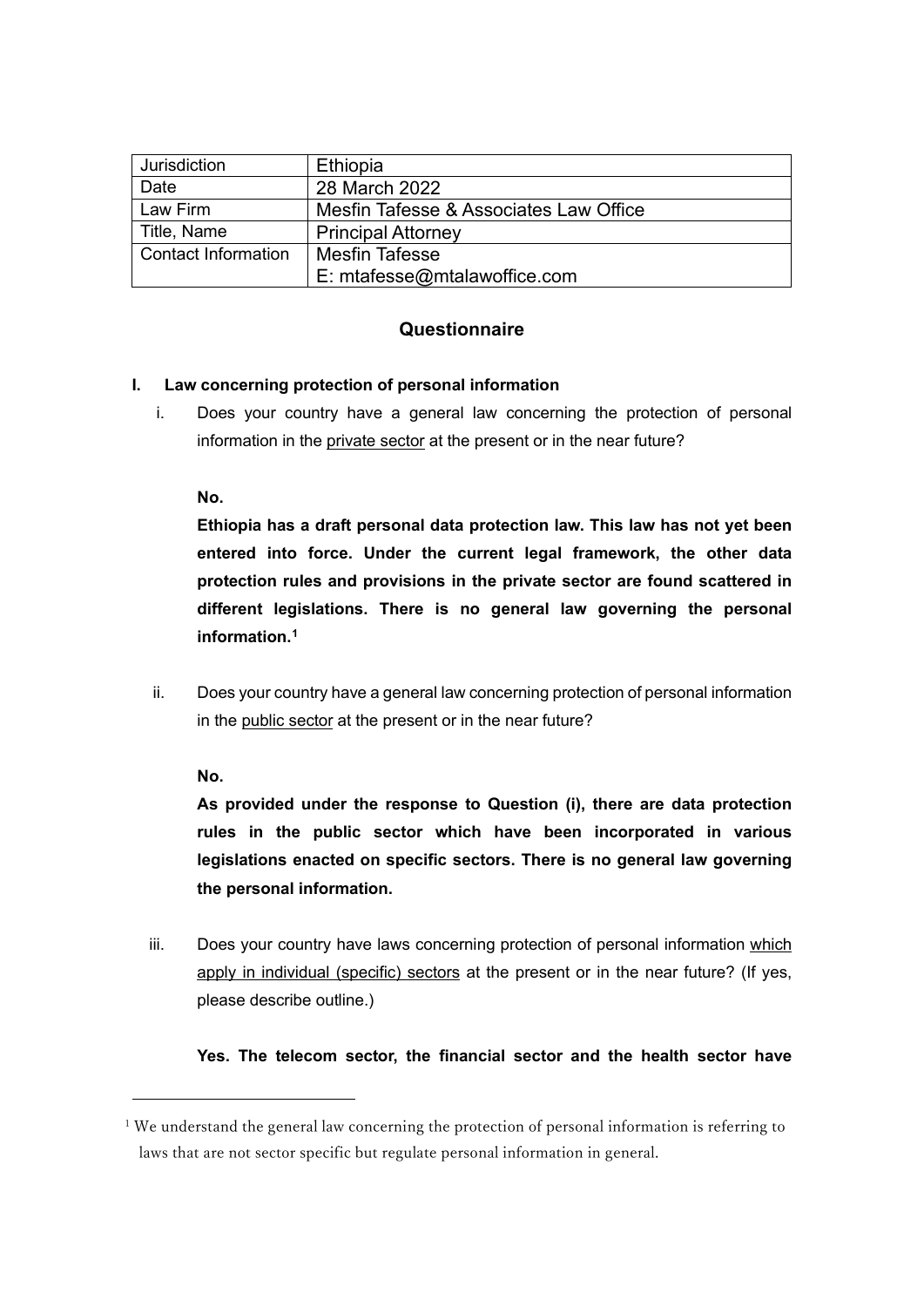| Jurisdiction        | Ethiopia                               |
|---------------------|----------------------------------------|
| Date                | 28 March 2022                          |
| Law Firm            | Mesfin Tafesse & Associates Law Office |
| Title, Name         | <b>Principal Attorney</b>              |
| Contact Information | <b>Mesfin Tafesse</b>                  |
|                     | E: mtafesse@mtalawoffice.com           |

## **Questionnaire**

### **I. Law concerning protection of personal information**

i. Does your country have a general law concerning the protection of personal information in the private sector at the present or in the near future?

**No.** 

**Ethiopia has a draft personal data protection law. This law has not yet been entered into force. Under the current legal framework, the other data protection rules and provisions in the private sector are found scattered in different legislations. There is no general law governing the personal information.[1](#page-0-0)**

ii. Does your country have a general law concerning protection of personal information in the public sector at the present or in the near future?

**No.** 

**As provided under the response to Question (i), there are data protection rules in the public sector which have been incorporated in various legislations enacted on specific sectors. There is no general law governing the personal information.** 

iii. Does your country have laws concerning protection of personal information which apply in individual (specific) sectors at the present or in the near future? (If yes, please describe outline.)

### **Yes. The telecom sector, the financial sector and the health sector have**

<span id="page-0-0"></span><sup>&</sup>lt;sup>1</sup> We understand the general law concerning the protection of personal information is referring to laws that are not sector specific but regulate personal information in general.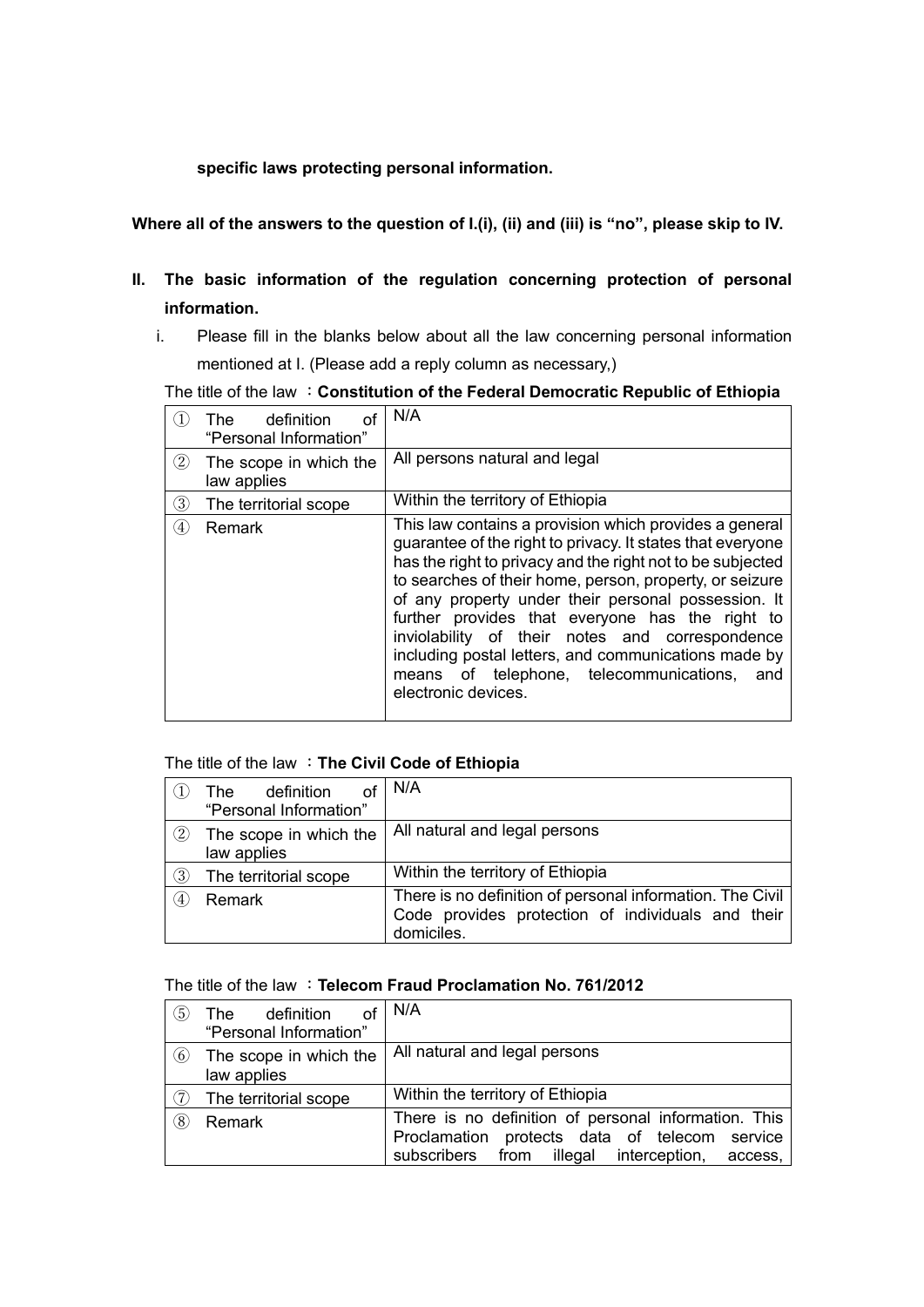#### **specific laws protecting personal information.**

### **Where all of the answers to the question of I.(i), (ii) and (iii) is "no", please skip to IV.**

- **II. The basic information of the regulation concerning protection of personal information.**
	- i. Please fill in the blanks below about all the law concerning personal information mentioned at I. (Please add a reply column as necessary,)

The title of the law :**Constitution of the Federal Democratic Republic of Ethiopia**

|                   | definition<br>The l<br>оf<br>"Personal Information" | N/A                                                                                                                                                                                                                                                                                                                                                                                                                                                                                                                                         |
|-------------------|-----------------------------------------------------|---------------------------------------------------------------------------------------------------------------------------------------------------------------------------------------------------------------------------------------------------------------------------------------------------------------------------------------------------------------------------------------------------------------------------------------------------------------------------------------------------------------------------------------------|
| $\circled{2}$     | The scope in which the<br>law applies               | All persons natural and legal                                                                                                                                                                                                                                                                                                                                                                                                                                                                                                               |
| ③                 | The territorial scope                               | Within the territory of Ethiopia                                                                                                                                                                                                                                                                                                                                                                                                                                                                                                            |
| $\left( 4\right)$ | Remark                                              | This law contains a provision which provides a general<br>guarantee of the right to privacy. It states that everyone<br>has the right to privacy and the right not to be subjected<br>to searches of their home, person, property, or seizure<br>of any property under their personal possession. It<br>further provides that everyone has the right to<br>inviolability of their notes and correspondence<br>including postal letters, and communications made by<br>means of telephone, telecommunications,<br>and<br>electronic devices. |

#### The title of the law :**The Civil Code of Ethiopia**

|                   | definition<br>The .<br>"Personal Information" | N/A                                                                                                                          |
|-------------------|-----------------------------------------------|------------------------------------------------------------------------------------------------------------------------------|
| $\left( 2\right)$ | The scope in which the<br>law applies         | All natural and legal persons                                                                                                |
| 3)                | The territorial scope                         | Within the territory of Ethiopia                                                                                             |
| $\left(4\right)$  | Remark                                        | There is no definition of personal information. The Civil<br>Code provides protection of individuals and their<br>domiciles. |

#### The title of the law :**Telecom Fraud Proclamation No. 761/2012**

| $\circled{5}$ | definition<br>The l    | N/A                                                  |
|---------------|------------------------|------------------------------------------------------|
|               | "Personal Information" |                                                      |
| (6)           | The scope in which the | All natural and legal persons                        |
|               | law applies            |                                                      |
| (7)           | The territorial scope  | Within the territory of Ethiopia                     |
| (8)           | Remark                 | There is no definition of personal information. This |
|               |                        | Proclamation protects data of telecom service        |
|               |                        | subscribers from illegal interception, access,       |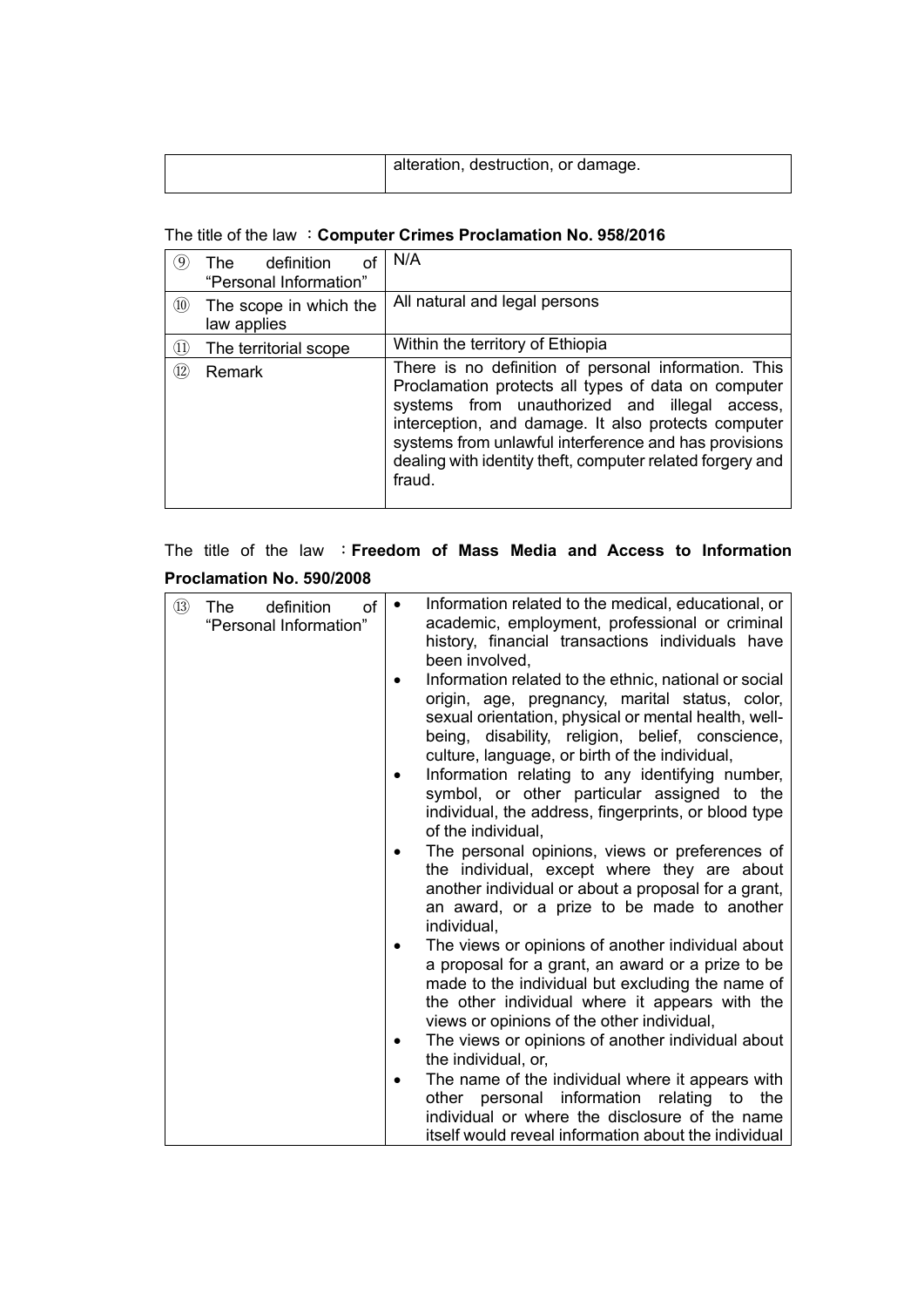|  | alteration, destruction, or damage. |
|--|-------------------------------------|
|--|-------------------------------------|

## The title of the law :**Computer Crimes Proclamation No. 958/2016**

| $\left[9\right]$ | definition<br>The<br>οt<br>"Personal Information" | N/A                                                                                                                                                                                                                                                                                                                                                 |
|------------------|---------------------------------------------------|-----------------------------------------------------------------------------------------------------------------------------------------------------------------------------------------------------------------------------------------------------------------------------------------------------------------------------------------------------|
| (10)             | The scope in which the<br>law applies             | All natural and legal persons                                                                                                                                                                                                                                                                                                                       |
| (11)             | The territorial scope                             | Within the territory of Ethiopia                                                                                                                                                                                                                                                                                                                    |
| (12)             | Remark                                            | There is no definition of personal information. This<br>Proclamation protects all types of data on computer<br>systems from unauthorized and illegal access,<br>interception, and damage. It also protects computer<br>systems from unlawful interference and has provisions<br>dealing with identity theft, computer related forgery and<br>fraud. |

# The title of the law :**Freedom of Mass Media and Access to Information Proclamation No. 590/2008**

| $\circled{1}$ | of<br>definition<br>The<br>"Personal Information" | $\bullet$ | Information related to the medical, educational, or<br>academic, employment, professional or criminal<br>history, financial transactions individuals have<br>been involved,                                                                                           |
|---------------|---------------------------------------------------|-----------|-----------------------------------------------------------------------------------------------------------------------------------------------------------------------------------------------------------------------------------------------------------------------|
|               |                                                   |           | Information related to the ethnic, national or social<br>origin, age, pregnancy, marital status, color,<br>sexual orientation, physical or mental health, well-<br>being, disability, religion, belief, conscience,<br>culture, language, or birth of the individual, |
|               |                                                   |           | Information relating to any identifying number,<br>symbol, or other particular assigned to the<br>individual, the address, fingerprints, or blood type<br>of the individual,                                                                                          |
|               |                                                   |           | The personal opinions, views or preferences of<br>the individual, except where they are about<br>another individual or about a proposal for a grant,<br>an award, or a prize to be made to another<br>individual,                                                     |
|               |                                                   |           | The views or opinions of another individual about<br>a proposal for a grant, an award or a prize to be<br>made to the individual but excluding the name of<br>the other individual where it appears with the<br>views or opinions of the other individual,            |
|               |                                                   |           | The views or opinions of another individual about<br>the individual, or,                                                                                                                                                                                              |
|               |                                                   |           | The name of the individual where it appears with<br>personal information relating to the<br>other<br>individual or where the disclosure of the name                                                                                                                   |
|               |                                                   |           | itself would reveal information about the individual                                                                                                                                                                                                                  |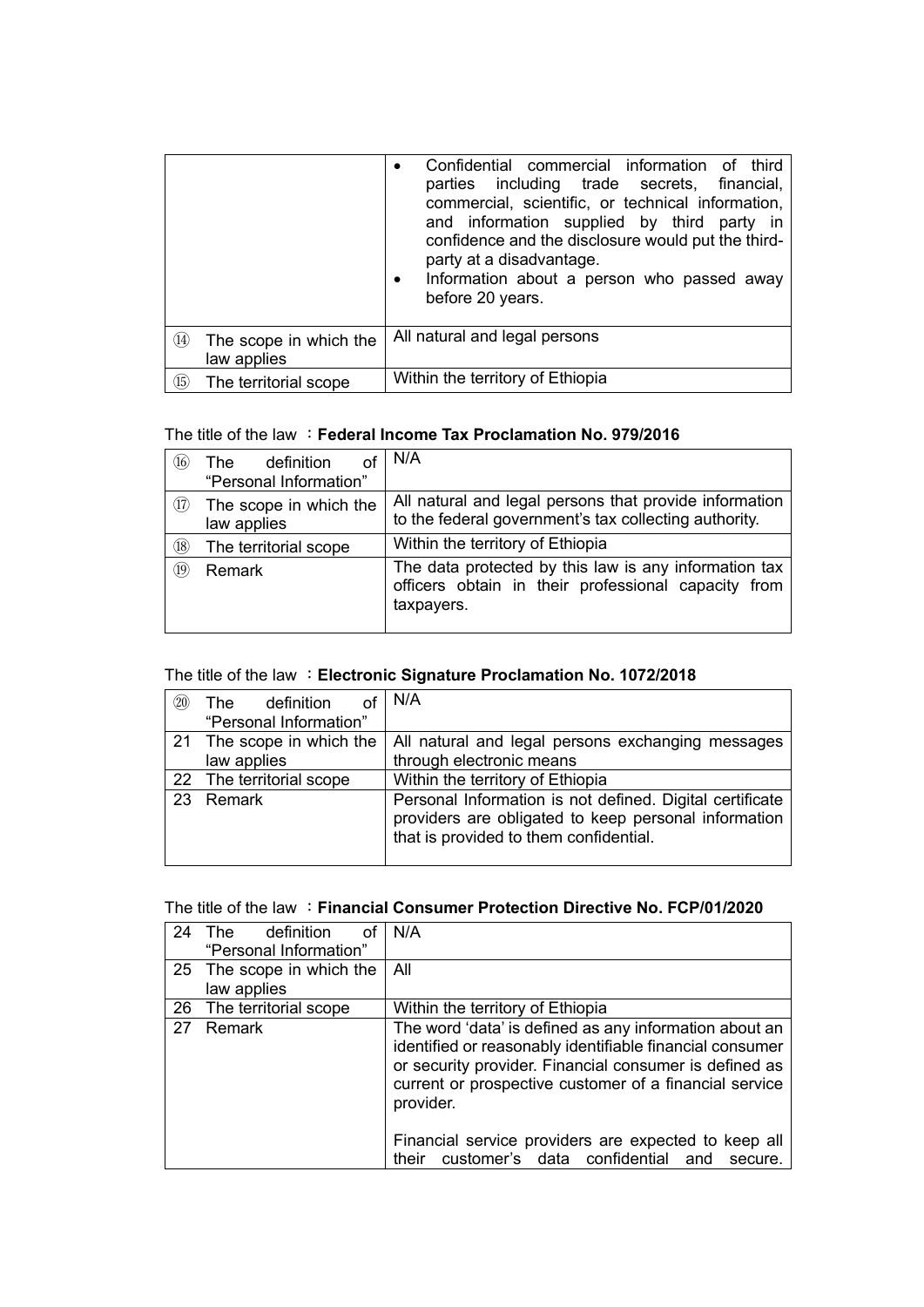|                |                                       | Confidential commercial information of third<br>parties including trade secrets, financial,<br>commercial, scientific, or technical information,<br>and information supplied by third party in<br>confidence and the disclosure would put the third-<br>party at a disadvantage.<br>Information about a person who passed away<br>$\bullet$<br>before 20 years. |
|----------------|---------------------------------------|-----------------------------------------------------------------------------------------------------------------------------------------------------------------------------------------------------------------------------------------------------------------------------------------------------------------------------------------------------------------|
| $\circled{14}$ | The scope in which the<br>law applies | All natural and legal persons                                                                                                                                                                                                                                                                                                                                   |
| (15)           | The territorial scope                 | Within the territory of Ethiopia                                                                                                                                                                                                                                                                                                                                |

### The title of the law :**Federal Income Tax Proclamation No. 979/2016**

| (16)           | definition<br>The<br>οt<br>"Personal Information" | N/A                                                                                                                        |
|----------------|---------------------------------------------------|----------------------------------------------------------------------------------------------------------------------------|
| (17)           | The scope in which the<br>law applies             | All natural and legal persons that provide information<br>to the federal government's tax collecting authority.            |
| (18)           | The territorial scope                             | Within the territory of Ethiopia                                                                                           |
| $\circled{19}$ | Remark                                            | The data protected by this law is any information tax<br>officers obtain in their professional capacity from<br>taxpayers. |

## The title of the law :**Electronic Signature Proclamation No. 1072/2018**

| (20) | The definition<br>"Personal Information" | N/A                                                                                                                                                        |
|------|------------------------------------------|------------------------------------------------------------------------------------------------------------------------------------------------------------|
|      | 21 The scope in which the<br>law applies | All natural and legal persons exchanging messages<br>through electronic means                                                                              |
|      | 22 The territorial scope                 | Within the territory of Ethiopia                                                                                                                           |
|      | 23 Remark                                | Personal Information is not defined. Digital certificate<br>providers are obligated to keep personal information<br>that is provided to them confidential. |

#### The title of the law :**Financial Consumer Protection Directive No. FCP/01/2020**

| 24 | definition<br>οf<br>The T<br>"Personal Information" | N/A                                                                                                                                                                                                                                                 |
|----|-----------------------------------------------------|-----------------------------------------------------------------------------------------------------------------------------------------------------------------------------------------------------------------------------------------------------|
|    | 25 The scope in which the<br>law applies            | All                                                                                                                                                                                                                                                 |
|    | 26 The territorial scope                            | Within the territory of Ethiopia                                                                                                                                                                                                                    |
| 27 | Remark                                              | The word 'data' is defined as any information about an<br>identified or reasonably identifiable financial consumer<br>or security provider. Financial consumer is defined as<br>current or prospective customer of a financial service<br>provider. |
|    |                                                     | Financial service providers are expected to keep all<br>customer's data confidential and secure.<br>their                                                                                                                                           |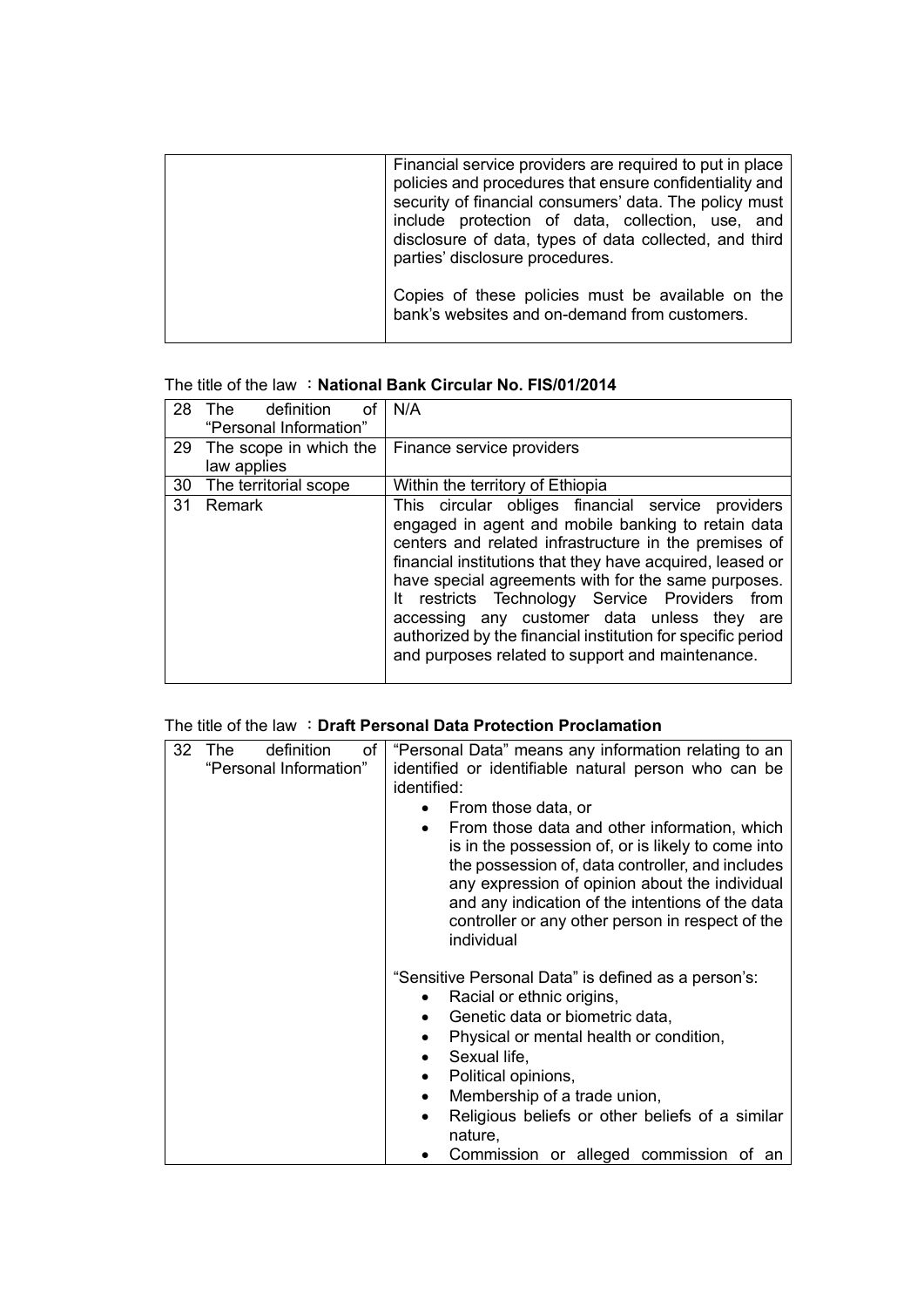| Financial service providers are required to put in place<br>policies and procedures that ensure confidentiality and<br>security of financial consumers' data. The policy must<br>include protection of data, collection, use, and<br>disclosure of data, types of data collected, and third<br>parties' disclosure procedures. |
|--------------------------------------------------------------------------------------------------------------------------------------------------------------------------------------------------------------------------------------------------------------------------------------------------------------------------------|
| Copies of these policies must be available on the<br>bank's websites and on-demand from customers.                                                                                                                                                                                                                             |

### The title of the law :**National Bank Circular No. FIS/01/2014**

| 28 | The definition<br>οf<br>"Personal Information" | N/A                                                                                                                                                                                                                                                                                                                                                                                                                                                                                                      |
|----|------------------------------------------------|----------------------------------------------------------------------------------------------------------------------------------------------------------------------------------------------------------------------------------------------------------------------------------------------------------------------------------------------------------------------------------------------------------------------------------------------------------------------------------------------------------|
|    | 29 The scope in which the<br>law applies       | Finance service providers                                                                                                                                                                                                                                                                                                                                                                                                                                                                                |
| 30 | The territorial scope                          | Within the territory of Ethiopia                                                                                                                                                                                                                                                                                                                                                                                                                                                                         |
| 31 | Remark                                         | This circular obliges financial service providers<br>engaged in agent and mobile banking to retain data<br>centers and related infrastructure in the premises of<br>financial institutions that they have acquired, leased or<br>have special agreements with for the same purposes.<br>It restricts Technology Service Providers from<br>accessing any customer data unless they are<br>authorized by the financial institution for specific period<br>and purposes related to support and maintenance. |

### The title of the law :**Draft Personal Data Protection Proclamation**

| 32 | definition<br>of<br>The | "Personal Data" means any information relating to an                                                                                                                                                                                                                                                                           |
|----|-------------------------|--------------------------------------------------------------------------------------------------------------------------------------------------------------------------------------------------------------------------------------------------------------------------------------------------------------------------------|
|    | "Personal Information"  | identified or identifiable natural person who can be                                                                                                                                                                                                                                                                           |
|    |                         | identified:                                                                                                                                                                                                                                                                                                                    |
|    |                         | From those data, or                                                                                                                                                                                                                                                                                                            |
|    |                         | From those data and other information, which<br>is in the possession of, or is likely to come into<br>the possession of, data controller, and includes<br>any expression of opinion about the individual<br>and any indication of the intentions of the data<br>controller or any other person in respect of the<br>individual |
|    |                         | "Sensitive Personal Data" is defined as a person's:                                                                                                                                                                                                                                                                            |
|    |                         | Racial or ethnic origins,                                                                                                                                                                                                                                                                                                      |
|    |                         | Genetic data or biometric data,<br>$\bullet$                                                                                                                                                                                                                                                                                   |
|    |                         | Physical or mental health or condition,                                                                                                                                                                                                                                                                                        |
|    |                         | Sexual life,                                                                                                                                                                                                                                                                                                                   |
|    |                         | Political opinions,                                                                                                                                                                                                                                                                                                            |
|    |                         | Membership of a trade union,<br>$\bullet$                                                                                                                                                                                                                                                                                      |
|    |                         | Religious beliefs or other beliefs of a similar<br>nature,                                                                                                                                                                                                                                                                     |
|    |                         | Commission or alleged commission of an                                                                                                                                                                                                                                                                                         |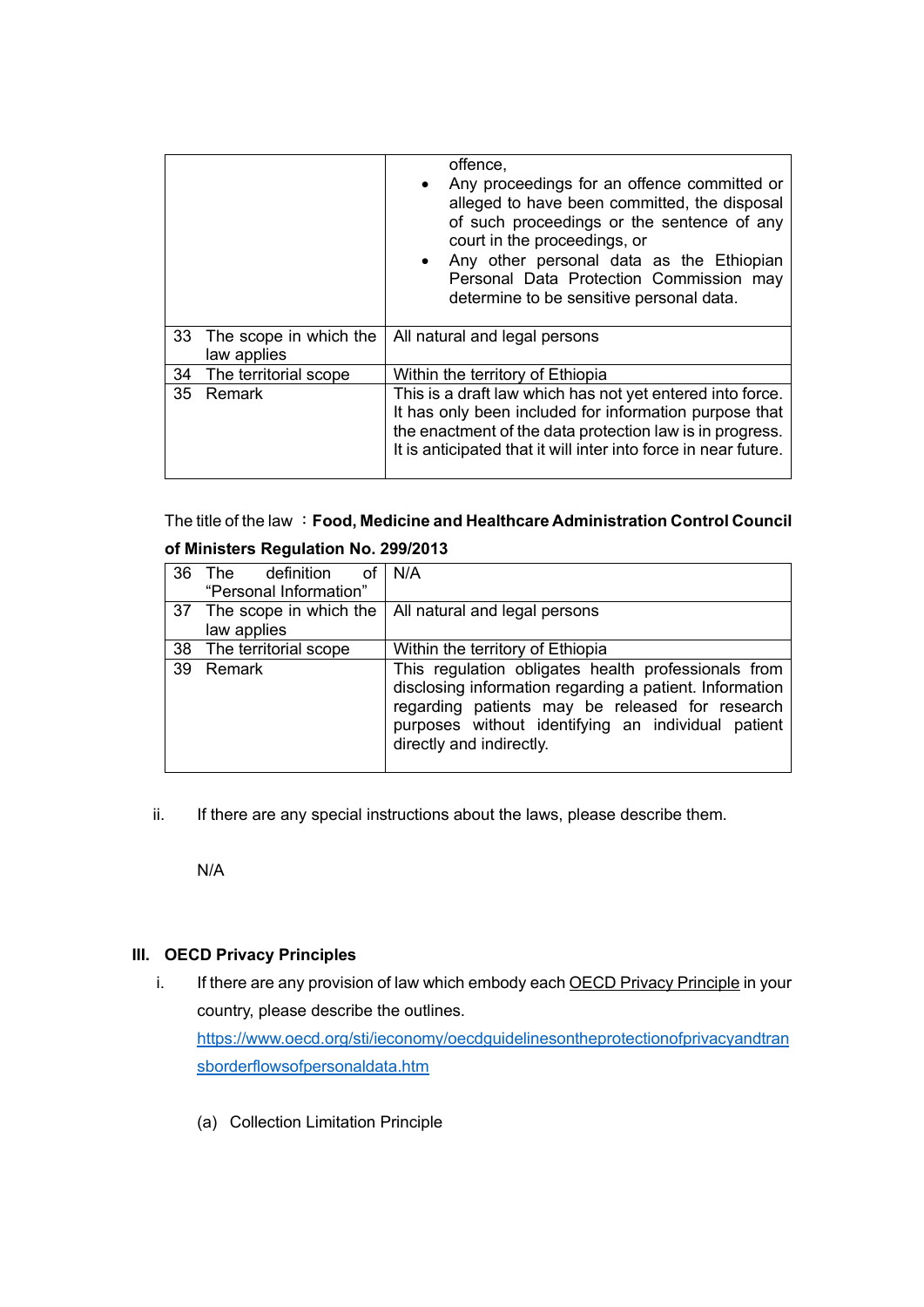|    |                                       | offence,<br>Any proceedings for an offence committed or<br>alleged to have been committed, the disposal<br>of such proceedings or the sentence of any<br>court in the proceedings, or<br>• Any other personal data as the Ethiopian<br>Personal Data Protection Commission may<br>determine to be sensitive personal data. |
|----|---------------------------------------|----------------------------------------------------------------------------------------------------------------------------------------------------------------------------------------------------------------------------------------------------------------------------------------------------------------------------|
| 33 | The scope in which the<br>law applies | All natural and legal persons                                                                                                                                                                                                                                                                                              |
| 34 | The territorial scope                 | Within the territory of Ethiopia                                                                                                                                                                                                                                                                                           |
| 35 | <b>Remark</b>                         | This is a draft law which has not yet entered into force.<br>It has only been included for information purpose that<br>the enactment of the data protection law is in progress.<br>It is anticipated that it will inter into force in near future.                                                                         |

The title of the law :**Food, Medicine and Healthcare Administration Control Council** 

|    | 36 The definition of   | N/A                                                                                                                                                                                                                                                 |  |  |
|----|------------------------|-----------------------------------------------------------------------------------------------------------------------------------------------------------------------------------------------------------------------------------------------------|--|--|
|    | "Personal Information" |                                                                                                                                                                                                                                                     |  |  |
|    |                        | 37 The scope in which the   All natural and legal persons                                                                                                                                                                                           |  |  |
|    | law applies            |                                                                                                                                                                                                                                                     |  |  |
| 38 | The territorial scope  | Within the territory of Ethiopia                                                                                                                                                                                                                    |  |  |
|    | 39 Remark              | This regulation obligates health professionals from<br>disclosing information regarding a patient. Information<br>regarding patients may be released for research<br>purposes without identifying an individual patient<br>directly and indirectly. |  |  |

# **of Ministers Regulation No. 299/2013**

ii. If there are any special instructions about the laws, please describe them.

N/A

### **III. OECD Privacy Principles**

- i. If there are any provision of law which embody each OECD Privacy Principle in your country, please describe the outlines. [https://www.oecd.org/sti/ieconomy/oecdguidelinesontheprotectionofprivacyandtran](https://www.oecd.org/sti/ieconomy/oecdguidelinesontheprotectionofprivacyandtransborderflowsofpersonaldata.htm) [sborderflowsofpersonaldata.htm](https://www.oecd.org/sti/ieconomy/oecdguidelinesontheprotectionofprivacyandtransborderflowsofpersonaldata.htm)
	- (a) Collection Limitation Principle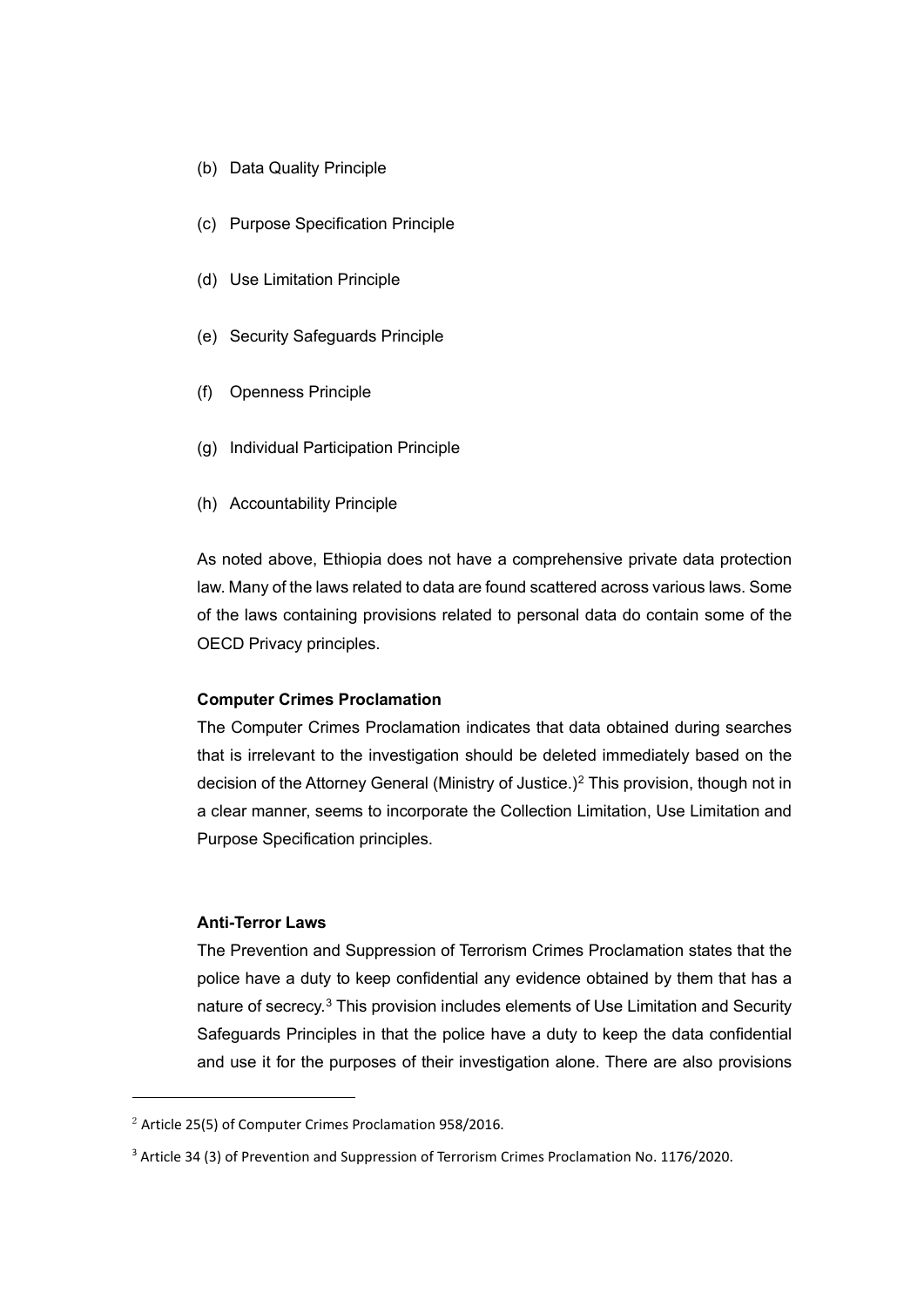- (b) Data Quality Principle
- (c) Purpose Specification Principle
- (d) Use Limitation Principle
- (e) Security Safeguards Principle
- (f) Openness Principle
- (g) Individual Participation Principle
- (h) Accountability Principle

As noted above, Ethiopia does not have a comprehensive private data protection law. Many of the laws related to data are found scattered across various laws. Some of the laws containing provisions related to personal data do contain some of the OECD Privacy principles.

#### **Computer Crimes Proclamation**

The Computer Crimes Proclamation indicates that data obtained during searches that is irrelevant to the investigation should be deleted immediately based on the decision of the Attorney General (Ministry of Justice.)<sup>[2](#page-6-0)</sup> This provision, though not in a clear manner, seems to incorporate the Collection Limitation, Use Limitation and Purpose Specification principles.

#### **Anti-Terror Laws**

The Prevention and Suppression of Terrorism Crimes Proclamation states that the police have a duty to keep confidential any evidence obtained by them that has a nature of secrecy.<sup>[3](#page-6-1)</sup> This provision includes elements of Use Limitation and Security Safeguards Principles in that the police have a duty to keep the data confidential and use it for the purposes of their investigation alone. There are also provisions

<span id="page-6-0"></span> $2$  Article 25(5) of Computer Crimes Proclamation 958/2016.

<span id="page-6-1"></span><sup>&</sup>lt;sup>3</sup> Article 34 (3) of Prevention and Suppression of Terrorism Crimes Proclamation No. 1176/2020.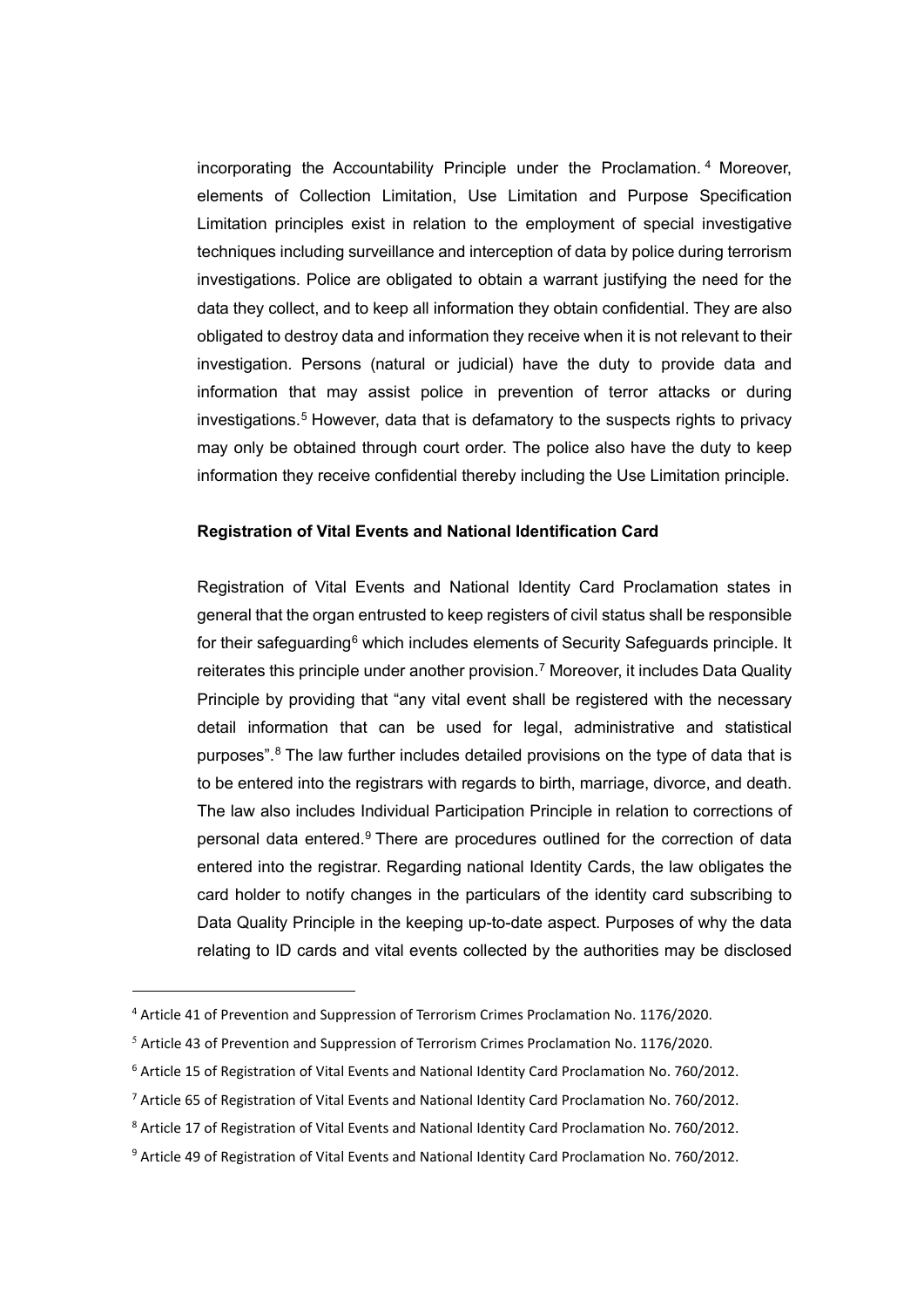incorporating the Accountability Principle under the Proclamation. [4](#page-7-0) Moreover, elements of Collection Limitation, Use Limitation and Purpose Specification Limitation principles exist in relation to the employment of special investigative techniques including surveillance and interception of data by police during terrorism investigations. Police are obligated to obtain a warrant justifying the need for the data they collect, and to keep all information they obtain confidential. They are also obligated to destroy data and information they receive when it is not relevant to their investigation. Persons (natural or judicial) have the duty to provide data and information that may assist police in prevention of terror attacks or during investigations.<sup>[5](#page-7-1)</sup> However, data that is defamatory to the suspects rights to privacy may only be obtained through court order. The police also have the duty to keep information they receive confidential thereby including the Use Limitation principle.

#### **Registration of Vital Events and National Identification Card**

Registration of Vital Events and National Identity Card Proclamation states in general that the organ entrusted to keep registers of civil status shall be responsible for their safeguarding<sup>[6](#page-7-2)</sup> which includes elements of Security Safeguards principle. It reiterates this principle under another provision.<sup>[7](#page-7-3)</sup> Moreover, it includes Data Quality Principle by providing that "any vital event shall be registered with the necessary detail information that can be used for legal, administrative and statistical purposes".[8](#page-7-4) The law further includes detailed provisions on the type of data that is to be entered into the registrars with regards to birth, marriage, divorce, and death. The law also includes Individual Participation Principle in relation to corrections of personal data entered[.9](#page-7-5) There are procedures outlined for the correction of data entered into the registrar. Regarding national Identity Cards, the law obligates the card holder to notify changes in the particulars of the identity card subscribing to Data Quality Principle in the keeping up-to-date aspect. Purposes of why the data relating to ID cards and vital events collected by the authorities may be disclosed

<span id="page-7-0"></span><sup>4</sup> Article 41 of Prevention and Suppression of Terrorism Crimes Proclamation No. 1176/2020.

<span id="page-7-1"></span> $5$  Article 43 of Prevention and Suppression of Terrorism Crimes Proclamation No. 1176/2020.

<span id="page-7-2"></span><sup>6</sup> Article 15 of Registration of Vital Events and National Identity Card Proclamation No. 760/2012.

<span id="page-7-3"></span><sup>7</sup> Article 65 of Registration of Vital Events and National Identity Card Proclamation No. 760/2012.

<span id="page-7-4"></span><sup>8</sup> Article 17 of Registration of Vital Events and National Identity Card Proclamation No. 760/2012.

<span id="page-7-5"></span><sup>9</sup> Article 49 of Registration of Vital Events and National Identity Card Proclamation No. 760/2012.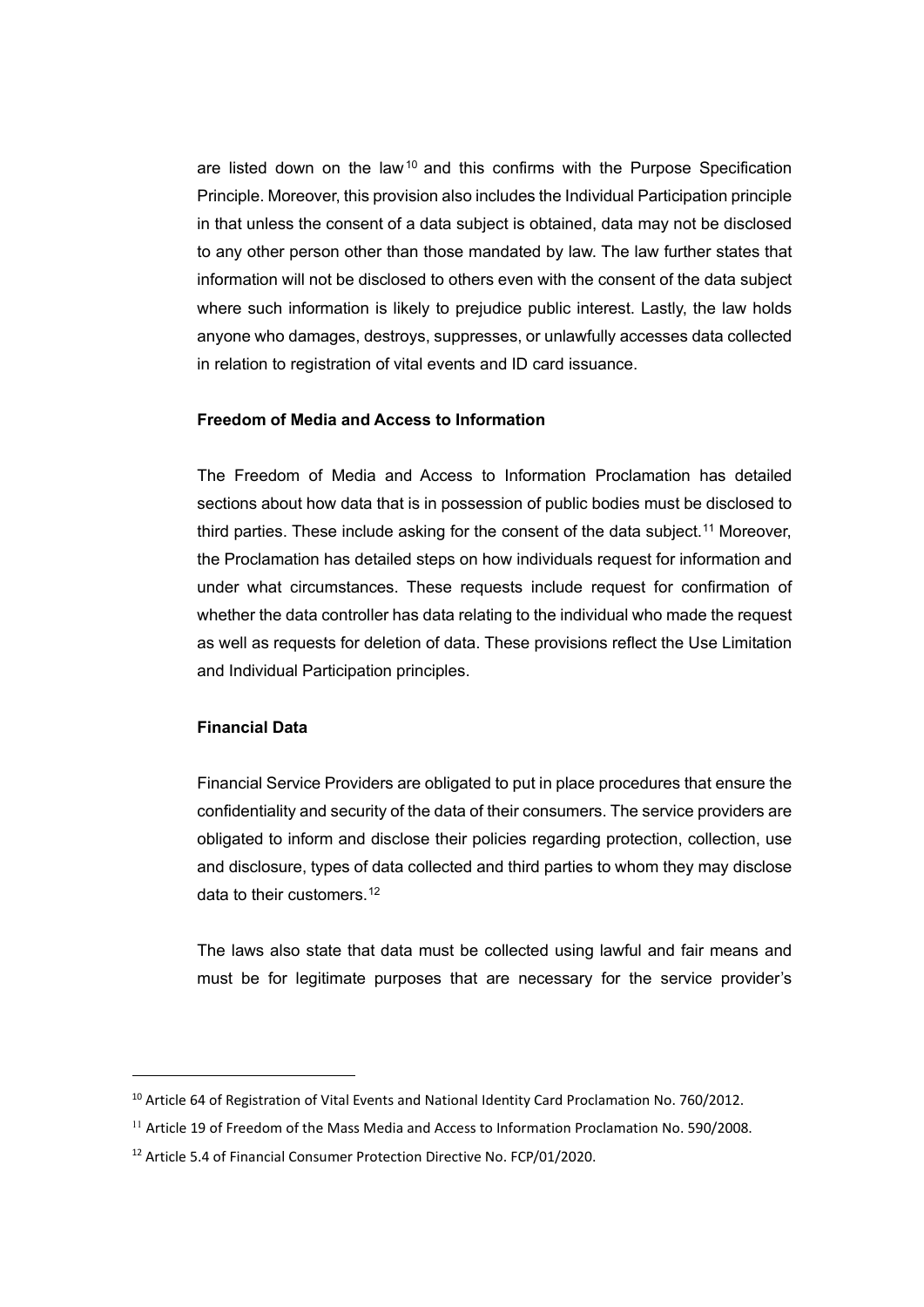are listed down on the law<sup>[10](#page-8-0)</sup> and this confirms with the Purpose Specification Principle. Moreover, this provision also includes the Individual Participation principle in that unless the consent of a data subject is obtained, data may not be disclosed to any other person other than those mandated by law. The law further states that information will not be disclosed to others even with the consent of the data subject where such information is likely to prejudice public interest. Lastly, the law holds anyone who damages, destroys, suppresses, or unlawfully accesses data collected in relation to registration of vital events and ID card issuance.

#### **Freedom of Media and Access to Information**

The Freedom of Media and Access to Information Proclamation has detailed sections about how data that is in possession of public bodies must be disclosed to third parties. These include asking for the consent of the data subject.<sup>[11](#page-8-1)</sup> Moreover, the Proclamation has detailed steps on how individuals request for information and under what circumstances. These requests include request for confirmation of whether the data controller has data relating to the individual who made the request as well as requests for deletion of data. These provisions reflect the Use Limitation and Individual Participation principles.

#### **Financial Data**

Financial Service Providers are obligated to put in place procedures that ensure the confidentiality and security of the data of their consumers. The service providers are obligated to inform and disclose their policies regarding protection, collection, use and disclosure, types of data collected and third parties to whom they may disclose data to their customers.<sup>[12](#page-8-2)</sup>

The laws also state that data must be collected using lawful and fair means and must be for legitimate purposes that are necessary for the service provider's

<span id="page-8-0"></span><sup>&</sup>lt;sup>10</sup> Article 64 of Registration of Vital Events and National Identity Card Proclamation No. 760/2012.

<span id="page-8-1"></span> $11$  Article 19 of Freedom of the Mass Media and Access to Information Proclamation No. 590/2008.

<span id="page-8-2"></span><sup>&</sup>lt;sup>12</sup> Article 5.4 of Financial Consumer Protection Directive No. FCP/01/2020.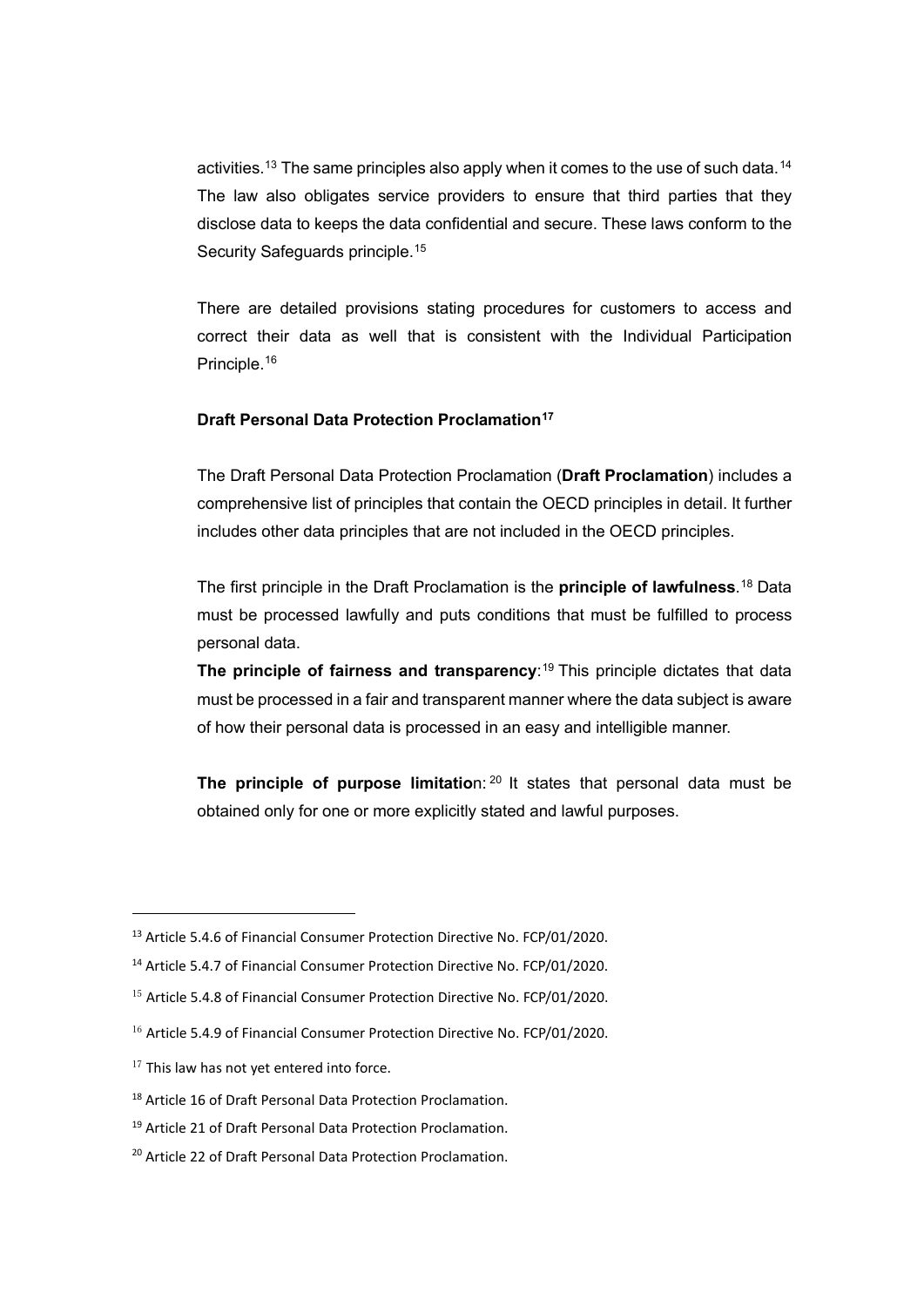activities.<sup>[13](#page-9-0)</sup> The same principles also apply when it comes to the use of such data.<sup>[14](#page-9-1)</sup> The law also obligates service providers to ensure that third parties that they disclose data to keeps the data confidential and secure. These laws conform to the Security Safeguards principle.<sup>[15](#page-9-2)</sup>

There are detailed provisions stating procedures for customers to access and correct their data as well that is consistent with the Individual Participation Principle.[16](#page-9-3)

#### **Draft Personal Data Protection Proclamation[17](#page-9-4)**

The Draft Personal Data Protection Proclamation (**Draft Proclamation**) includes a comprehensive list of principles that contain the OECD principles in detail. It further includes other data principles that are not included in the OECD principles.

The first principle in the Draft Proclamation is the **principle of lawfulness**. [18](#page-9-5) Data must be processed lawfully and puts conditions that must be fulfilled to process personal data.

**The principle of fairness and transparency**: [19](#page-9-6) This principle dictates that data must be processed in a fair and transparent manner where the data subject is aware of how their personal data is processed in an easy and intelligible manner.

**The principle of purpose limitation: <sup>[20](#page-9-7)</sup> It states that personal data must be** obtained only for one or more explicitly stated and lawful purposes.

<span id="page-9-0"></span><sup>&</sup>lt;sup>13</sup> Article 5.4.6 of Financial Consumer Protection Directive No. FCP/01/2020.

<span id="page-9-1"></span><sup>14</sup> Article 5.4.7 of Financial Consumer Protection Directive No. FCP/01/2020.

<span id="page-9-2"></span> $15$  Article 5.4.8 of Financial Consumer Protection Directive No. FCP/01/2020.

<span id="page-9-3"></span> $16$  Article 5.4.9 of Financial Consumer Protection Directive No. FCP/01/2020.

<span id="page-9-4"></span> $17$  This law has not yet entered into force.

<span id="page-9-5"></span><sup>18</sup> Article 16 of Draft Personal Data Protection Proclamation.

<span id="page-9-6"></span><sup>&</sup>lt;sup>19</sup> Article 21 of Draft Personal Data Protection Proclamation.

<span id="page-9-7"></span><sup>20</sup> Article 22 of Draft Personal Data Protection Proclamation.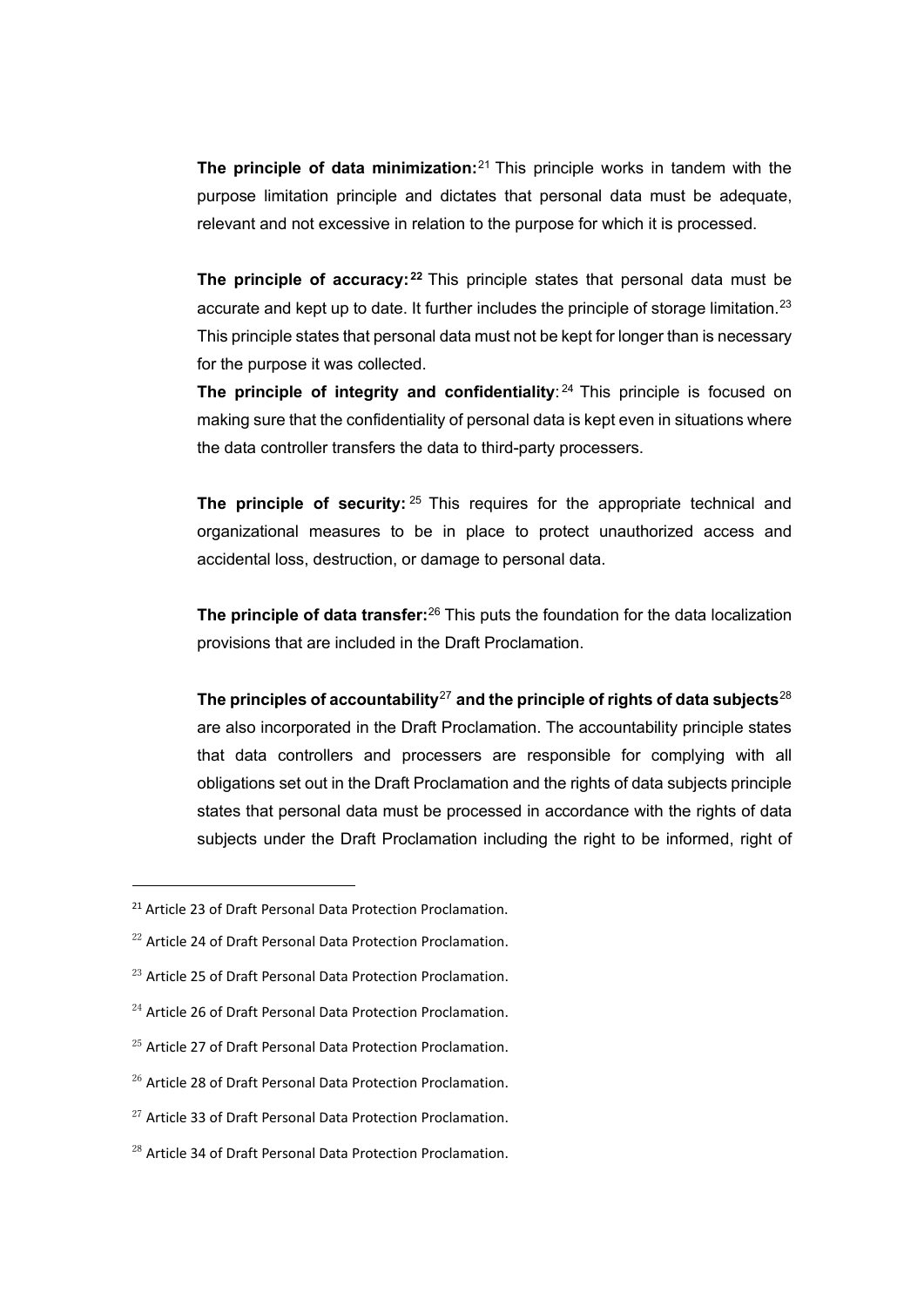**The principle of data minimization:**[21](#page-10-0) This principle works in tandem with the purpose limitation principle and dictates that personal data must be adequate, relevant and not excessive in relation to the purpose for which it is processed.

**The principle of accuracy:** <sup>[22](#page-10-1)</sup> This principle states that personal data must be accurate and kept up to date. It further includes the principle of storage limitation.<sup>[23](#page-10-2)</sup> This principle states that personal data must not be kept for longer than is necessary for the purpose it was collected.

**The principle of integrity and confidentiality: <sup>24</sup> This principle is focused on** making sure that the confidentiality of personal data is kept even in situations where the data controller transfers the data to third-party processers.

**The principle of security:** <sup>25</sup> This requires for the appropriate technical and organizational measures to be in place to protect unauthorized access and accidental loss, destruction, or damage to personal data.

**The principle of data transfer:**[26](#page-10-5) This puts the foundation for the data localization provisions that are included in the Draft Proclamation.

**The principles of accountability**[27](#page-10-6) **and the principle of rights of data subjects**[28](#page-10-7) are also incorporated in the Draft Proclamation. The accountability principle states that data controllers and processers are responsible for complying with all obligations set out in the Draft Proclamation and the rights of data subjects principle states that personal data must be processed in accordance with the rights of data subjects under the Draft Proclamation including the right to be informed, right of

- <span id="page-10-2"></span><sup>23</sup> Article 25 of Draft Personal Data Protection Proclamation.
- <span id="page-10-3"></span> $^{24}$  Article 26 of Draft Personal Data Protection Proclamation.
- <span id="page-10-4"></span> $^{25}$  Article 27 of Draft Personal Data Protection Proclamation.
- <span id="page-10-5"></span><sup>26</sup> Article 28 of Draft Personal Data Protection Proclamation.
- <span id="page-10-6"></span><sup>27</sup> Article 33 of Draft Personal Data Protection Proclamation.
- <span id="page-10-7"></span><sup>28</sup> Article 34 of Draft Personal Data Protection Proclamation.

<span id="page-10-0"></span><sup>&</sup>lt;sup>21</sup> Article 23 of Draft Personal Data Protection Proclamation.

<span id="page-10-1"></span><sup>&</sup>lt;sup>22</sup> Article 24 of Draft Personal Data Protection Proclamation.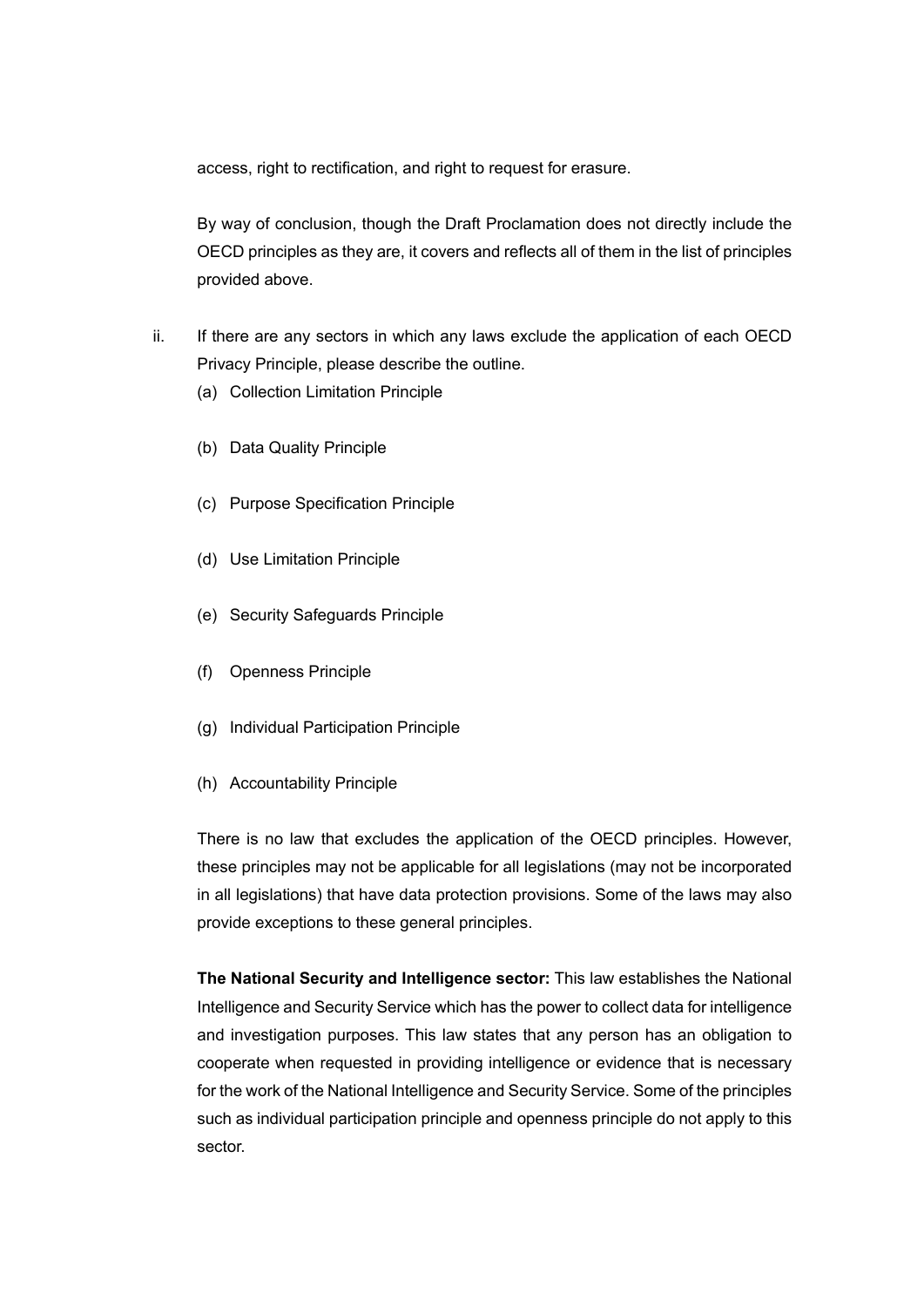access, right to rectification, and right to request for erasure.

By way of conclusion, though the Draft Proclamation does not directly include the OECD principles as they are, it covers and reflects all of them in the list of principles provided above.

- ii. If there are any sectors in which any laws exclude the application of each OECD Privacy Principle, please describe the outline.
	- (a) Collection Limitation Principle
	- (b) Data Quality Principle
	- (c) Purpose Specification Principle
	- (d) Use Limitation Principle
	- (e) Security Safeguards Principle
	- (f) Openness Principle
	- (g) Individual Participation Principle
	- (h) Accountability Principle

There is no law that excludes the application of the OECD principles. However, these principles may not be applicable for all legislations (may not be incorporated in all legislations) that have data protection provisions. Some of the laws may also provide exceptions to these general principles.

**The National Security and Intelligence sector:** This law establishes the National Intelligence and Security Service which has the power to collect data for intelligence and investigation purposes. This law states that any person has an obligation to cooperate when requested in providing intelligence or evidence that is necessary for the work of the National Intelligence and Security Service. Some of the principles such as individual participation principle and openness principle do not apply to this sector.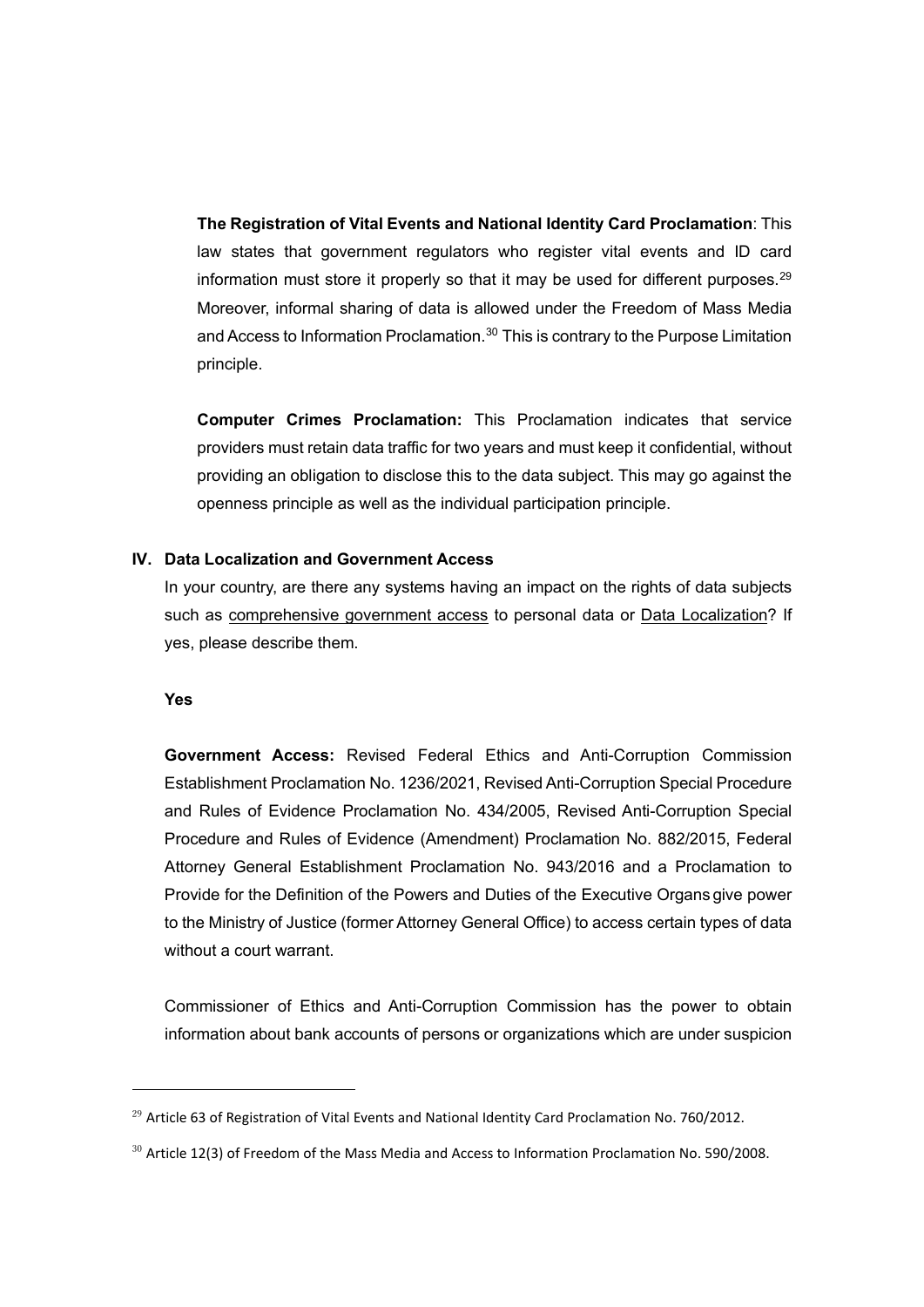**The Registration of Vital Events and National Identity Card Proclamation**: This law states that government regulators who register vital events and ID card information must store it properly so that it may be used for different purposes.<sup>[29](#page-12-0)</sup> Moreover, informal sharing of data is allowed under the Freedom of Mass Media and Access to Information Proclamation.<sup>[30](#page-12-1)</sup> This is contrary to the Purpose Limitation principle.

**Computer Crimes Proclamation:** This Proclamation indicates that service providers must retain data traffic for two years and must keep it confidential, without providing an obligation to disclose this to the data subject. This may go against the openness principle as well as the individual participation principle.

#### **IV. Data Localization and Government Access**

In your country, are there any systems having an impact on the rights of data subjects such as comprehensive government access to personal data or Data Localization? If yes, please describe them.

#### **Yes**

**Government Access:** Revised Federal Ethics and Anti-Corruption Commission Establishment Proclamation No. 1236/2021, Revised Anti-Corruption Special Procedure and Rules of Evidence Proclamation No. 434/2005, Revised Anti-Corruption Special Procedure and Rules of Evidence (Amendment) Proclamation No. 882/2015, Federal Attorney General Establishment Proclamation No. 943/2016 and a Proclamation to Provide for the Definition of the Powers and Duties of the Executive Organs give power to the Ministry of Justice (former Attorney General Office) to access certain types of data without a court warrant.

Commissioner of Ethics and Anti-Corruption Commission has the power to obtain information about bank accounts of persons or organizations which are under suspicion

<span id="page-12-0"></span> $^{29}$  Article 63 of Registration of Vital Events and National Identity Card Proclamation No. 760/2012.

<span id="page-12-1"></span> $30$  Article 12(3) of Freedom of the Mass Media and Access to Information Proclamation No. 590/2008.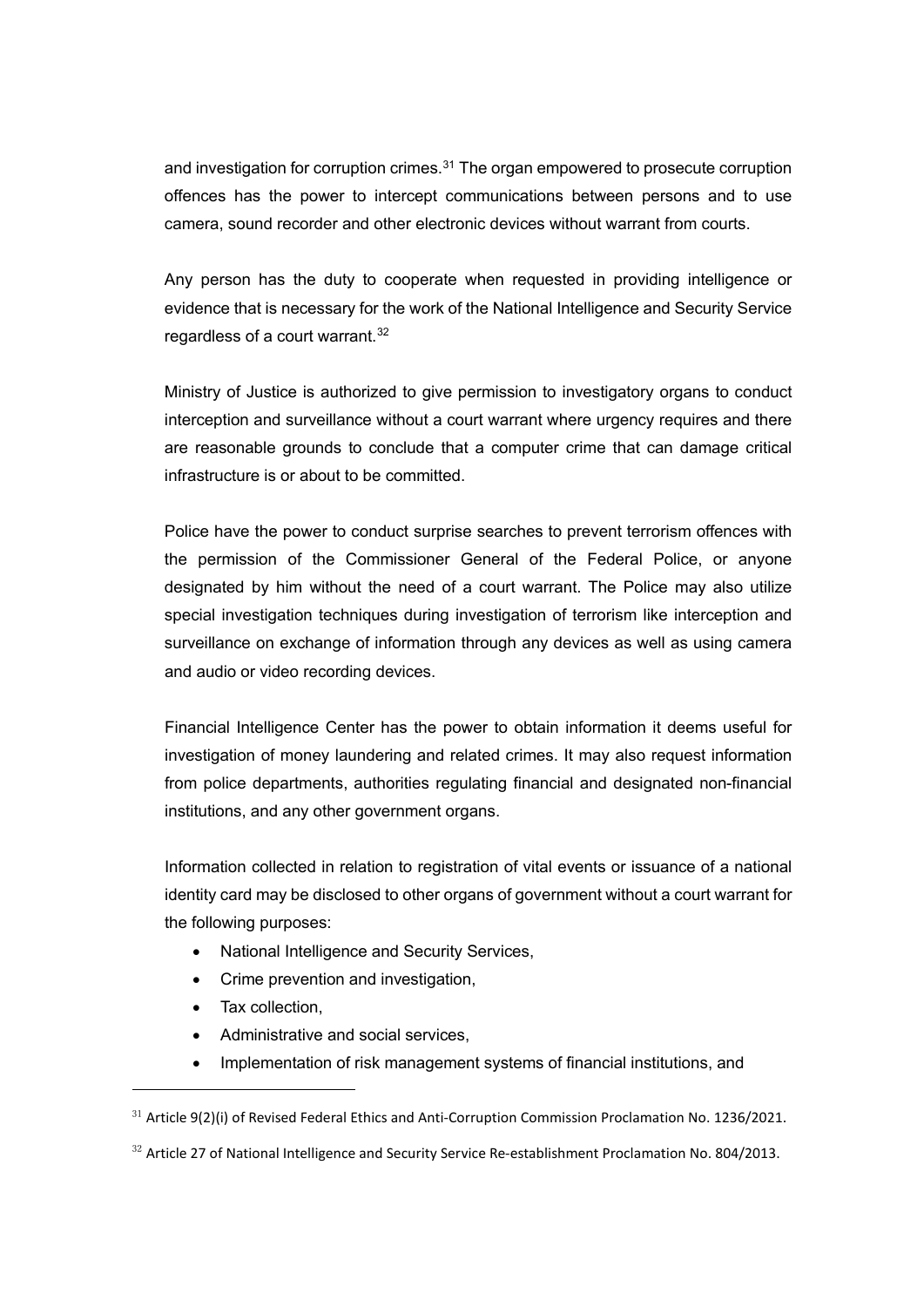and investigation for corruption crimes. $31$  The organ empowered to prosecute corruption offences has the power to intercept communications between persons and to use camera, sound recorder and other electronic devices without warrant from courts.

Any person has the duty to cooperate when requested in providing intelligence or evidence that is necessary for the work of the National Intelligence and Security Service regardless of a court warrant.<sup>[32](#page-13-1)</sup>

Ministry of Justice is authorized to give permission to investigatory organs to conduct interception and surveillance without a court warrant where urgency requires and there are reasonable grounds to conclude that a computer crime that can damage critical infrastructure is or about to be committed.

Police have the power to conduct surprise searches to prevent terrorism offences with the permission of the Commissioner General of the Federal Police, or anyone designated by him without the need of a court warrant. The Police may also utilize special investigation techniques during investigation of terrorism like interception and surveillance on exchange of information through any devices as well as using camera and audio or video recording devices.

Financial Intelligence Center has the power to obtain information it deems useful for investigation of money laundering and related crimes. It may also request information from police departments, authorities regulating financial and designated non-financial institutions, and any other government organs.

Information collected in relation to registration of vital events or issuance of a national identity card may be disclosed to other organs of government without a court warrant for the following purposes:

- National Intelligence and Security Services,
- Crime prevention and investigation,
- Tax collection,
- Administrative and social services,
- Implementation of risk management systems of financial institutions, and

<span id="page-13-0"></span> $31$  Article 9(2)(i) of Revised Federal Ethics and Anti-Corruption Commission Proclamation No. 1236/2021.

<span id="page-13-1"></span> $32$  Article 27 of National Intelligence and Security Service Re-establishment Proclamation No. 804/2013.